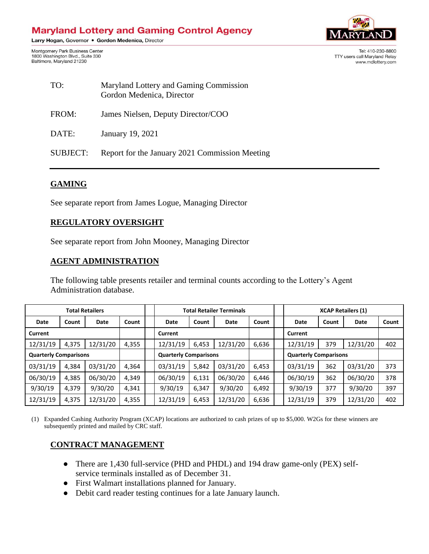# **Maryland Lottery and Gaming Control Agency**

Larry Hogan, Governor . Gordon Medenica, Director

Montgomery Park Business Center 1800 Washington Blvd., Suite 330 Baltimore, Maryland 21230



Tel: 410-230-8800 TTY users call Marvland Relay www.mdlottery.com

| TO:             | Maryland Lottery and Gaming Commission<br>Gordon Medenica, Director |  |  |  |  |
|-----------------|---------------------------------------------------------------------|--|--|--|--|
| FROM:           | James Nielsen, Deputy Director/COO                                  |  |  |  |  |
| DATE:           | January 19, 2021                                                    |  |  |  |  |
| <b>SUBJECT:</b> | Report for the January 2021 Commission Meeting                      |  |  |  |  |

### **GAMING**

See separate report from James Logue, Managing Director

#### **REGULATORY OVERSIGHT**

See separate report from John Mooney, Managing Director

#### **AGENT ADMINISTRATION**

The following table presents retailer and terminal counts according to the Lottery's Agent Administration database.

| <b>Total Retailers</b>       |       |          |                              | <b>Total Retailer Terminals</b> |       |                              |         | <b>XCAP Retailers (1)</b> |       |          |       |
|------------------------------|-------|----------|------------------------------|---------------------------------|-------|------------------------------|---------|---------------------------|-------|----------|-------|
| Date                         | Count | Date     | Count                        | Date                            | Count | Date                         | Count   | Date                      | Count | Date     | Count |
| Current                      |       |          |                              | Current                         |       |                              | Current |                           |       |          |       |
| 12/31/19                     | 4,375 | 12/31/20 | 4,355                        | 12/31/19                        | 6,453 | 12/31/20                     | 6,636   | 12/31/19                  | 379   | 12/31/20 | 402   |
| <b>Quarterly Comparisons</b> |       |          | <b>Quarterly Comparisons</b> |                                 |       | <b>Quarterly Comparisons</b> |         |                           |       |          |       |
| 03/31/19                     | 4,384 | 03/31/20 | 4,364                        | 03/31/19                        | 5,842 | 03/31/20                     | 6,453   | 03/31/19                  | 362   | 03/31/20 | 373   |
| 06/30/19                     | 4,385 | 06/30/20 | 4,349                        | 06/30/19                        | 6,131 | 06/30/20                     | 6,446   | 06/30/19                  | 362   | 06/30/20 | 378   |
| 9/30/19                      | 4,379 | 9/30/20  | 4,341                        | 9/30/19                         | 6,347 | 9/30/20                      | 6,492   | 9/30/19                   | 377   | 9/30/20  | 397   |
| 12/31/19                     | 4,375 | 12/31/20 | 4,355                        | 12/31/19                        | 6,453 | 12/31/20                     | 6,636   | 12/31/19                  | 379   | 12/31/20 | 402   |

(1) Expanded Cashing Authority Program (XCAP) locations are authorized to cash prizes of up to \$5,000. W2Gs for these winners are subsequently printed and mailed by CRC staff.

#### **CONTRACT MANAGEMENT**

- There are 1,430 full-service (PHD and PHDL) and 194 draw game-only (PEX) selfservice terminals installed as of December 31.
- First Walmart installations planned for January.
- Debit card reader testing continues for a late January launch.